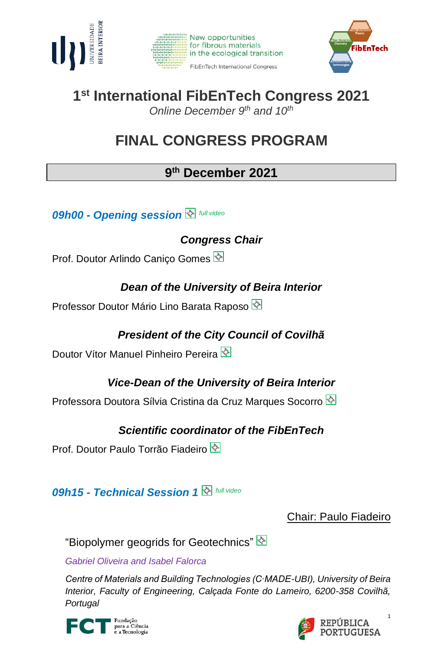





# **1 st International FibEnTech Congress 2021**

*Online December 9 th and 10th*

## **FINAL CONGRESS PROGRAM**

## **9 th December 2021**

*09h00 - Opening session full video*

*Congress Chair*

Prof. Doutor Arlindo Caniço Gomes

### *Dean of the University of Beira Interior*

Professor Doutor Mário Lino Barata Raposo

## *President of the City Council of Covilhã*

Doutor Vítor Manuel Pinheiro Pereira

## *Vice-Dean of the University of Beira Interior*

Professora Doutora Sílvia Cristina da Cruz Marques Socorro

## *Scientific coordinator of the FibEnTech*

Prof. Doutor Paulo Torrão Fiadeiro

*09h15 - Technical Session 1 full video*

Chair: Paulo Fiadeiro

"Biopolymer geogrids for Geotechnics"

*Gabriel Oliveira and Isabel Falorca* 

*Centre of Materials and Building Technologies (C∙MADE-UBI), University of Beira Interior, Faculty of Engineering, Calçada Fonte do Lameiro, 6200-358 Covilhã, Portugal*



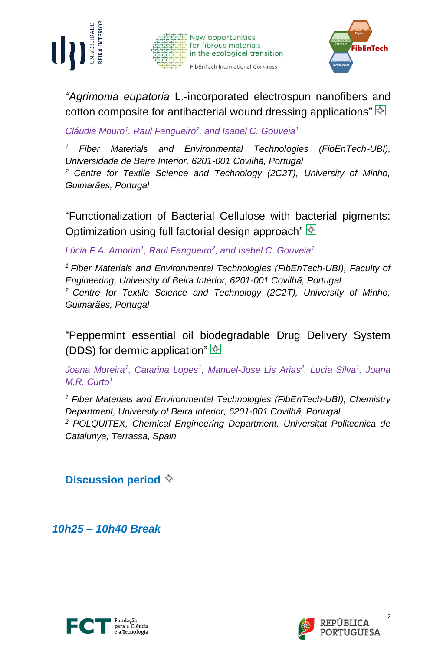





*"Agrimonia eupatoria* L.-incorporated electrospun nanofibers and cotton composite for antibacterial wound dressing applications" $\mathbb{Q}$ 

*Cláudia Mouro<sup>1</sup> , Raul Fangueiro<sup>2</sup> , and Isabel C. Gouveia<sup>1</sup>*

*<sup>1</sup> Fiber Materials and Environmental Technologies (FibEnTech-UBI), Universidade de Beira Interior, 6201-001 Covilhã, Portugal*

*<sup>2</sup> Centre for Textile Science and Technology (2C2T), University of Minho, Guimarães, Portugal*

"Functionalization of Bacterial Cellulose with bacterial pigments: Optimization using full factorial design approach"  $\mathbb{\hat{S}}$ 

*Lúcia F.A. Amorim<sup>1</sup> , Raul Fangueiro<sup>2</sup> , and Isabel C. Gouveia<sup>1</sup>*

*<sup>1</sup> Fiber Materials and Environmental Technologies (FibEnTech-UBI), Faculty of Engineering, University of Beira Interior, 6201-001 Covilhã, Portugal <sup>2</sup> Centre for Textile Science and Technology (2C2T), University of Minho, Guimarães, Portugal*

"Peppermint essential oil biodegradable Drug Delivery System (DDS) for dermic application" $\overline{\otimes}$ 

*Joana Moreira<sup>1</sup> , Catarina Lopes<sup>1</sup> , Manuel-Jose Lis Arias<sup>2</sup> , Lucia Silva<sup>1</sup> , Joana M.R. Curto<sup>1</sup>*

*<sup>1</sup> Fiber Materials and Environmental Technologies (FibEnTech-UBI), Chemistry Department, University of Beira Interior, 6201-001 Covilhã, Portugal <sup>2</sup> POLQUITEX, Chemical Engineering Department, Universitat Politecnica de Catalunya, Terrassa, Spain*

**Discussion period**

*10h25 – 10h40 Break*





2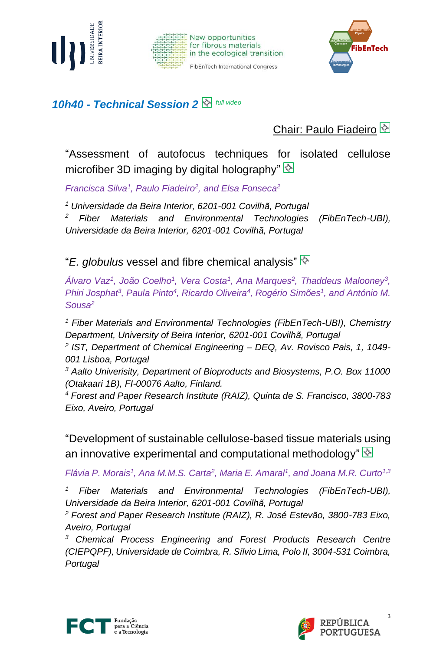





#### *10h40 - Technical Session 2 full video*

Chair: Paulo Fiadeiro

"Assessment of autofocus techniques for isolated cellulose microfiber 3D imaging by digital holography"  $\&$ 

*Francisca Silva<sup>1</sup> , Paulo Fiadeiro<sup>2</sup> , and Elsa Fonseca<sup>2</sup>*

*<sup>1</sup> Universidade da Beira Interior, 6201-001 Covilhã, Portugal*

*<sup>2</sup> Fiber Materials and Environmental Technologies (FibEnTech-UBI), Universidade da Beira Interior, 6201-001 Covilhã, Portugal*

"*E. globulus* vessel and fibre chemical analysis"

*Álvaro Vaz<sup>1</sup> , João Coelho<sup>1</sup> , Vera Costa<sup>1</sup> , Ana Marques<sup>2</sup> , Thaddeus Malooney<sup>3</sup> , Phiri Josphat<sup>3</sup>, Paula Pinto<sup>4</sup>, Ricardo Oliveira<sup>4</sup>, Rogério Simões<sup>1</sup>, and António M. Sousa<sup>2</sup>*

*<sup>1</sup> Fiber Materials and Environmental Technologies (FibEnTech-UBI), Chemistry Department, University of Beira Interior, 6201-001 Covilhã, Portugal*

*2 IST, Department of Chemical Engineering – DEQ, Av. Rovisco Pais, 1, 1049- 001 Lisboa, Portugal*

*<sup>3</sup> Aalto Univerisity, Department of Bioproducts and Biosystems, P.O. Box 11000 (Otakaari 1B), FI-00076 Aalto, Finland.*

*<sup>4</sup> Forest and Paper Research Institute (RAIZ), Quinta de S. Francisco, 3800-783 Eixo, Aveiro, Portugal*

"Development of sustainable cellulose-based tissue materials using an innovative experimental and computational methodology"  $\mathbb{R}$ 

*Flávia P. Morais<sup>1</sup>, Ana M.M.S. Carta<sup>2</sup>, Maria E. Amaral<sup>1</sup>, and Joana M.R. Curto<sup>1,3</sup>* 

*<sup>1</sup> Fiber Materials and Environmental Technologies (FibEnTech-UBI), Universidade da Beira Interior, 6201-001 Covilhã, Portugal* 

*<sup>2</sup> Forest and Paper Research Institute (RAIZ), R. José Estevão, 3800-783 Eixo, Aveiro, Portugal* 

*<sup>3</sup> Chemical Process Engineering and Forest Products Research Centre (CIEPQPF), Universidade de Coimbra, R. Sílvio Lima, Polo II, 3004-531 Coimbra, Portugal*



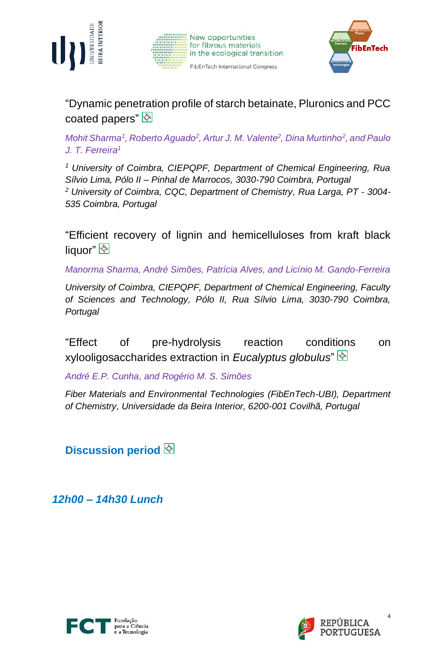





"Dynamic penetration profile of starch betainate, Pluronics and PCC coated papers" $\sqrt[3]{\infty}$ 

*Mohit Sharma<sup>1</sup> , Roberto Aguado<sup>2</sup> , Artur J. M. Valente<sup>2</sup> , Dina Murtinho<sup>2</sup> , and Paulo J. T. Ferreira<sup>1</sup>*

*<sup>1</sup> University of Coimbra, CIEPQPF, Department of Chemical Engineering, Rua Sílvio Lima, Pólo II – Pinhal de Marrocos, 3030-790 Coimbra, Portugal <sup>2</sup> University of Coimbra, CQC, Department of Chemistry, Rua Larga, PT - 3004- 535 Coimbra, Portugal*

"Efficient recovery of lignin and hemicelluloses from kraft black liquor"

*Manorma Sharma, André Simões, Patrícia Alves, and Licínio M. Gando-Ferreira*

*University of Coimbra, CIEPQPF, Department of Chemical Engineering, Faculty of Sciences and Technology, Pólo II, Rua Sílvio Lima, 3030-790 Coimbra, Portugal*

"Effect of pre-hydrolysis reaction conditions on xylooligosaccharides extraction in *Eucalyptus globulus*"

*André E.P. Cunha, and Rogério M. S. Simões*

*Fiber Materials and Environmental Technologies (FibEnTech-UBI), Department of Chemistry, Universidade da Beira Interior, 6200-001 Covilhã, Portugal*

**Discussion period**

*12h00 – 14h30 Lunch*



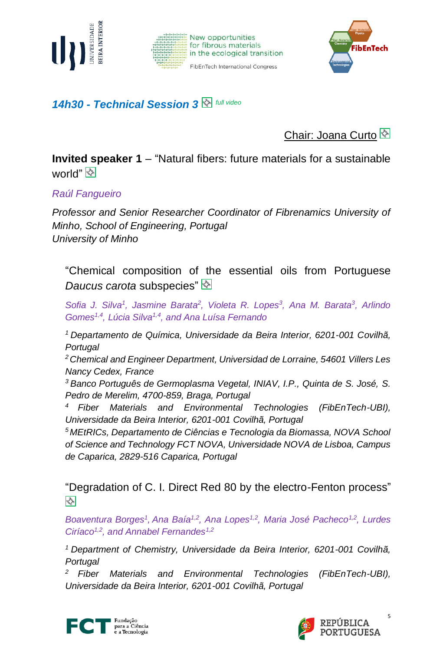





#### *14h30 - Technical Session 3 full video*

Chair: Joana Curto

**Invited speaker 1** – "Natural fibers: future materials for a sustainable world" <mark>V</mark>

*Raúl Fangueiro*

*Professor and Senior Researcher Coordinator of Fibrenamics University of Minho, School of Engineering, Portugal University of Minho*

"Chemical composition of the essential oils from Portuguese *Daucus carota* subspecies"

*Sofia J. Silva<sup>1</sup> , Jasmine Barata<sup>2</sup> , Violeta R. Lopes<sup>3</sup> , Ana M. Barata<sup>3</sup> , Arlindo Gomes1,4, Lúcia Silva1,4 , and Ana Luísa Fernando*

*<sup>1</sup> Departamento de Química, Universidade da Beira Interior, 6201-001 Covilhã, Portugal*

*<sup>2</sup>Chemical and Engineer Department, Universidad de Lorraine, 54601 Villers Les Nancy Cedex, France*

*<sup>3</sup> Banco Português de Germoplasma Vegetal, INIAV, I.P., Quinta de S. José, S. Pedro de Merelim, 4700-859, Braga, Portugal*

*<sup>4</sup> Fiber Materials and Environmental Technologies (FibEnTech-UBI), Universidade da Beira Interior, 6201-001 Covilhã, Portugal*

*<sup>5</sup> MEtRICs, Departamento de Ciências e Tecnologia da Biomassa, NOVA School of Science and Technology FCT NOVA, Universidade NOVA de Lisboa, Campus de Caparica, 2829-516 Caparica, Portugal*

"Degradation of C. I. Direct Red 80 by the electro-Fenton process" AND

*Boaventura Borges<sup>1</sup> , Ana Baía1,2, Ana Lopes1,2, Maria José Pacheco1,2 , Lurdes Ciríaco1,2 , and Annabel Fernandes1,2*

*<sup>1</sup>Department of Chemistry, Universidade da Beira Interior, 6201-001 Covilhã, Portugal*

*<sup>2</sup>Fiber Materials and Environmental Technologies (FibEnTech-UBI), Universidade da Beira Interior, 6201-001 Covilhã, Portugal*



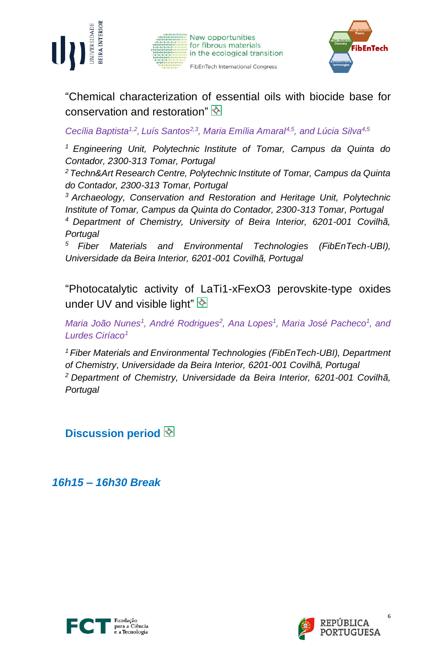





"Chemical characterization of essential oils with biocide base for conservation and restoration"

Cecília Baptista<sup>1,2</sup>, Luís Santos<sup>2,3</sup>, Maria Emília Amaral<sup>4,5</sup>, and Lúcia Silva<sup>4,5</sup>

*<sup>1</sup>Engineering Unit, Polytechnic Institute of Tomar, Campus da Quinta do Contador, 2300-313 Tomar, Portugal* 

*<sup>2</sup>Techn&Art Research Centre, Polytechnic Institute of Tomar, Campus da Quinta do Contador, 2300-313 Tomar, Portugal*

*<sup>3</sup>Archaeology, Conservation and Restoration and Heritage Unit, Polytechnic Institute of Tomar, Campus da Quinta do Contador, 2300-313 Tomar, Portugal*

*<sup>4</sup>Department of Chemistry, University of Beira Interior, 6201-001 Covilhã, Portugal*

*<sup>5</sup>Fiber Materials and Environmental Technologies (FibEnTech-UBI), Universidade da Beira Interior, 6201-001 Covilhã, Portugal*

"Photocatalytic activity of LaTi1-xFexO3 perovskite-type oxides under UV and visible light" $\&$ 

*Maria João Nunes<sup>1</sup>*, André Rodrigues<sup>2</sup>, Ana Lopes<sup>1</sup>, Maria José Pacheco<sup>1</sup>, and *Lurdes Ciríaco<sup>1</sup>*

*<sup>1</sup>Fiber Materials and Environmental Technologies (FibEnTech-UBI), Department of Chemistry, Universidade da Beira Interior, 6201-001 Covilhã, Portugal <sup>2</sup>Department of Chemistry, Universidade da Beira Interior, 6201-001 Covilhã, Portugal*

**Discussion period**

*16h15 – 16h30 Break*



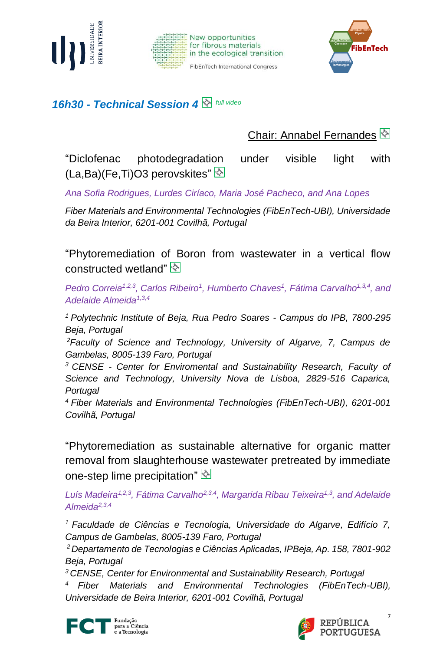





*16h30 - Technical Session 4 full video*

Chair: Annabel Fernandes

"Diclofenac photodegradation under visible light with (La,Ba)(Fe,Ti)O3 perovskites"

*Ana Sofia Rodrigues, Lurdes Ciríaco, Maria José Pacheco, and Ana Lopes*

*Fiber Materials and Environmental Technologies (FibEnTech-UBI), Universidade da Beira Interior, 6201-001 Covilhã, Portugal*

"Phytoremediation of Boron from wastewater in a vertical flow constructed wetland"

*Pedro Correia<sup>1,2,3</sup>, Carlos Ribeiro<sup>1</sup>, Humberto Chaves<sup>1</sup>, Fátima Carvalho<sup>1,3,4</sup>, and Adelaide Almeida1,3,4*

*<sup>1</sup>Polytechnic Institute of Beja, Rua Pedro Soares - Campus do IPB, 7800-295 Beja, Portugal*

*<sup>2</sup>Faculty of Science and Technology, University of Algarve, 7, Campus de Gambelas, 8005-139 Faro, Portugal*

*<sup>3</sup>CENSE - Center for Enviromental and Sustainability Research, Faculty of Science and Technology, University Nova de Lisboa, 2829-516 Caparica, Portugal*

*<sup>4</sup>Fiber Materials and Environmental Technologies (FibEnTech-UBI), 6201-001 Covilhã, Portugal*

"Phytoremediation as sustainable alternative for organic matter removal from slaughterhouse wastewater pretreated by immediate one-step lime precipitation" $\overline{\otimes}$ 

*Luís Madeira1,2,3, Fátima Carvalho2,3,4, Margarida Ribau Teixeira1,3 , and Adelaide Almeida2,3,4* 

*<sup>1</sup>Faculdade de Ciências e Tecnologia, Universidade do Algarve, Edifício 7, Campus de Gambelas, 8005-139 Faro, Portugal* 

*<sup>2</sup>Departamento de Tecnologias e Ciências Aplicadas, IPBeja, Ap. 158, 7801-902 Beja, Portugal* 

*<sup>3</sup>CENSE, Center for Environmental and Sustainability Research, Portugal* 

*<sup>4</sup>Fiber Materials and Environmental Technologies (FibEnTech-UBI), Universidade de Beira Interior, 6201-001 Covilhã, Portugal*



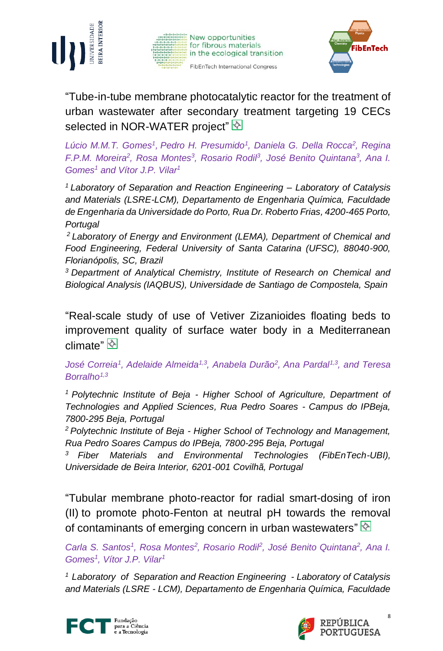





"Tube-in-tube membrane photocatalytic reactor for the treatment of urban wastewater after secondary treatment targeting 19 CECs selected in NOR-WATER project"

*Lúcio M.M.T. Gomes<sup>1</sup> , Pedro H. Presumido<sup>1</sup> , Daniela G. Della Rocca<sup>2</sup> , Regina F.P.M. Moreira<sup>2</sup>, Rosa Montes<sup>3</sup>, Rosario Rodil<sup>3</sup>, José Benito Quintana<sup>3</sup>, Ana I. Gomes<sup>1</sup> and Vítor J.P. Vilar<sup>1</sup>*

*<sup>1</sup>Laboratory of Separation and Reaction Engineering – Laboratory of Catalysis and Materials (LSRE-LCM), Departamento de Engenharia Química, Faculdade de Engenharia da Universidade do Porto, Rua Dr. Roberto Frias, 4200-465 Porto, Portugal*

*<sup>2</sup> Laboratory of Energy and Environment (LEMA), Department of Chemical and Food Engineering, Federal University of Santa Catarina (UFSC), 88040-900, Florianópolis, SC, Brazil*

*<sup>3</sup>Department of Analytical Chemistry, Institute of Research on Chemical and Biological Analysis (IAQBUS), Universidade de Santiago de Compostela, Spain*

"Real-scale study of use of Vetiver Zizanioides floating beds to improvement quality of surface water body in a Mediterranean climate"

*José Correia<sup>1</sup> , Adelaide Almeida1,3, Anabela Durão<sup>2</sup> , Ana Pardal1,3 , and Teresa Borralho1,3*

*<sup>1</sup>Polytechnic Institute of Beja - Higher School of Agriculture, Department of Technologies and Applied Sciences, Rua Pedro Soares - Campus do IPBeja, 7800-295 Beja, Portugal*

*<sup>2</sup>Polytechnic Institute of Beja - Higher School of Technology and Management, Rua Pedro Soares Campus do IPBeja, 7800-295 Beja, Portugal*

*<sup>3</sup>Fiber Materials and Environmental Technologies (FibEnTech-UBI), Universidade de Beira Interior, 6201-001 Covilhã, Portugal*

"Tubular membrane photo-reactor for radial smart-dosing of iron (II) to promote photo-Fenton at neutral pH towards the removal of contaminants of emerging concern in urban wastewaters" $\mathbb{R}$ 

Carla S. Santos<sup>1</sup>, Rosa Montes<sup>2</sup>, Rosario Rodil<sup>2</sup>, José Benito Quintana<sup>2</sup>, Ana I. *Gomes<sup>1</sup> , Vítor J.P. Vilar<sup>1</sup>*

*<sup>1</sup> Laboratory of Separation and Reaction Engineering - Laboratory of Catalysis and Materials (LSRE - LCM), Departamento de Engenharia Química, Faculdade*



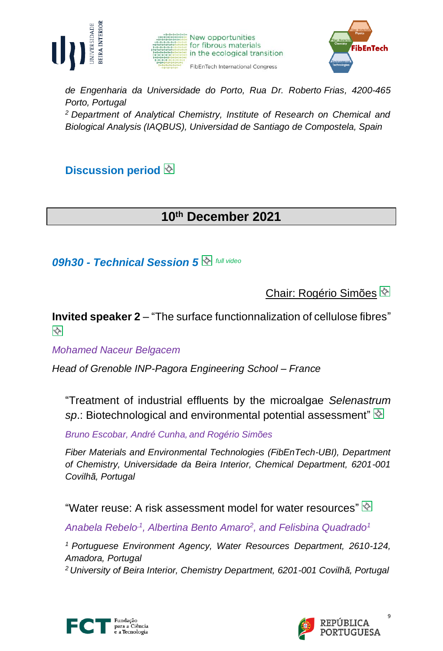





*de Engenharia da Universidade do Porto, Rua Dr. Roberto Frias, 4200-465 Porto, Portugal*

*<sup>2</sup>Department of Analytical Chemistry, Institute of Research on Chemical and Biological Analysis (IAQBUS), Universidad de Santiago de Compostela, Spain*

**Discussion period**

## **10th December 2021**

*09h30 - Technical Session 5 full video*

Chair: Rogério Simões

**Invited speaker 2** – "The surface functionnalization of cellulose fibres" X

*Mohamed Naceur Belgacem*

*Head of Grenoble INP-Pagora Engineering School – France*

"Treatment of industrial effluents by the microalgae *Selenastrum sp*.: Biotechnological and environmental potential assessment"

*Bruno Escobar, André Cunha,and Rogério Simões*

*Fiber Materials and Environmental Technologies (FibEnTech-UBI), Department of Chemistry, Universidade da Beira Interior, Chemical Department, 6201-001 Covilhã, Portugal*

"Water reuse: A risk assessment model for water resources"  $\mathbb{Q}$ 

*Anabela Rebelo ,1, Albertina Bento Amaro<sup>2</sup> , and Felisbina Quadrado<sup>1</sup>*

*<sup>1</sup>Portuguese Environment Agency, Water Resources Department, 2610-124, Amadora, Portugal*

*2 University of Beira Interior, Chemistry Department, 6201-001 Covilhã, Portugal*



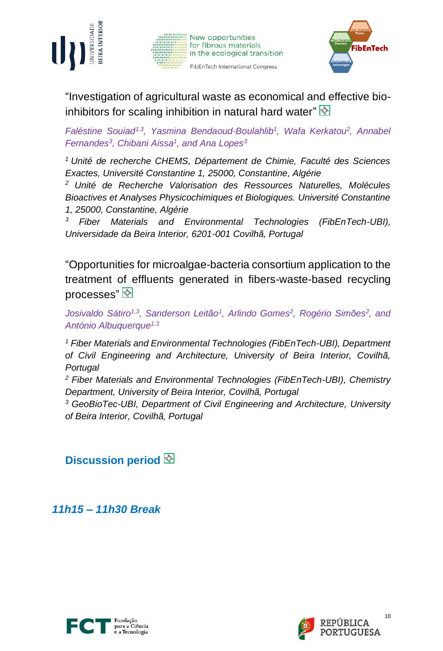





"Investigation of agricultural waste as economical and effective bioinhibitors for scaling inhibition in natural hard water" $\mathbb{\&}$ 

*Faléstine Souiad1,3 , Yasmina Bendaoud-Boulahlib<sup>1</sup> , Wafa Kerkatou<sup>2</sup> , Annabel Fernandes<sup>3</sup> , Chibani Aissa<sup>1</sup> , and Ana Lopes<sup>3</sup>*

*<sup>1</sup>Unité de recherche CHEMS, Département de Chimie, Faculté des Sciences Exactes, Université Constantine 1, 25000, Constantine, Algérie*

*<sup>2</sup> Unité de Recherche Valorisation des Ressources Naturelles, Molécules Bioactives et Analyses Physicochimiques et Biologiques. Université Constantine 1, 25000, Constantine, Algérie*

*<sup>3</sup> Fiber Materials and Environmental Technologies (FibEnTech-UBI), Universidade da Beira Interior, 6201-001 Covilhã, Portugal*

"Opportunities for microalgae-bacteria consortium application to the treatment of effluents generated in fibers-waste-based recycling processes"

*Josivaldo Sátiro1,3, Sanderson Leitão<sup>1</sup> , Arlindo Gomes<sup>2</sup> , Rogério Simões<sup>2</sup> , and António Albuquerque1,3*

*<sup>1</sup> Fiber Materials and Environmental Technologies (FibEnTech-UBI), Department of Civil Engineering and Architecture, University of Beira Interior, Covilhã, Portugal*

*<sup>2</sup> Fiber Materials and Environmental Technologies (FibEnTech-UBI), Chemistry Department, University of Beira Interior, Covilhã, Portugal*

*<sup>3</sup> GeoBioTec-UBI, Department of Civil Engineering and Architecture, University of Beira Interior, Covilhã, Portugal*

**Discussion period**

*11h15 – 11h30 Break*



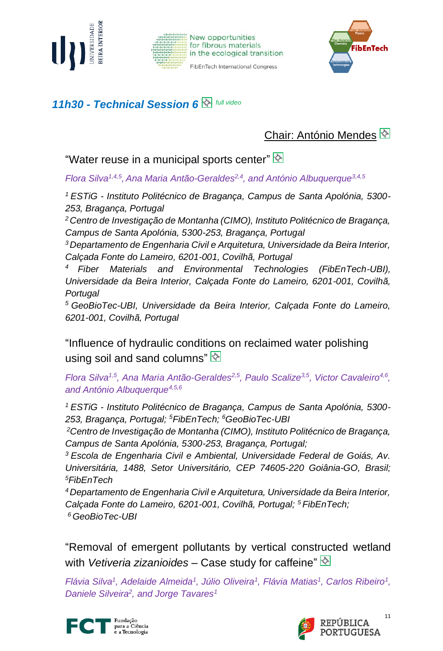





#### *11h30 - Technical Session 6 full video*

## Chair: António Mendes

"Water reuse in a municipal sports center"  $\mathbb{Q}$ 

*Flora Silva1,4,5 , Ana Maria Antão-Geraldes2,4 , and António Albuquerque3,4,5*

*<sup>1</sup>ESTiG - Instituto Politécnico de Bragança, Campus de Santa Apolónia, 5300- 253, Bragança, Portugal*

*<sup>2</sup>Centro de Investigação de Montanha (CIMO), Instituto Politécnico de Bragança, Campus de Santa Apolónia, 5300-253, Bragança, Portugal*

*<sup>3</sup>Departamento de Engenharia Civil e Arquitetura, Universidade da Beira Interior, Calçada Fonte do Lameiro, 6201-001, Covilhã, Portugal*

*<sup>4</sup>Fiber Materials and Environmental Technologies (FibEnTech-UBI), Universidade da Beira Interior, Calçada Fonte do Lameiro, 6201-001, Covilhã, Portugal*

*<sup>5</sup>GeoBioTec-UBI, Universidade da Beira Interior, Calçada Fonte do Lameiro, 6201-001, Covilhã, Portugal*

"Influence of hydraulic conditions on reclaimed water polishing using soil and sand columns" $\frac{1}{2}$ 

*Flora Silva1,5, Ana Maria Antão-Geraldes2,5, Paulo Scalize3,5, Victor Cavaleiro4,6 , and António Albuquerque4,5,6*

*<sup>1</sup>ESTiG - Instituto Politécnico de Bragança, Campus de Santa Apolónia, 5300- 253, Bragança, Portugal; <sup>5</sup>FibEnTech; <sup>6</sup>GeoBioTec-UBI*

*<sup>2</sup>Centro de Investigação de Montanha (CIMO), Instituto Politécnico de Bragança, Campus de Santa Apolónia, 5300-253, Bragança, Portugal;*

*<sup>3</sup>Escola de Engenharia Civil e Ambiental, Universidade Federal de Goiás, Av. Universitária, 1488, Setor Universitário, CEP 74605-220 Goiânia-GO, Brasil; <sup>5</sup>FibEnTech*

*<sup>4</sup>Departamento de Engenharia Civil e Arquitetura, Universidade da Beira Interior, Calçada Fonte do Lameiro, 6201-001, Covilhã, Portugal; <sup>5</sup>FibEnTech; <sup>6</sup>GeoBioTec-UBI*

"Removal of emergent pollutants by vertical constructed wetland with *Vetiveria zizanioides* – Case study for caffeine"

*Flávia Silva<sup>1</sup>, Adelaide Almeida<sup>1</sup>, Júlio Oliveira<sup>1</sup>, Flávia Matias<sup>1</sup>, Carlos Ribeiro<sup>1</sup>, Daniele Silveira<sup>2</sup> , and Jorge Tavares1*



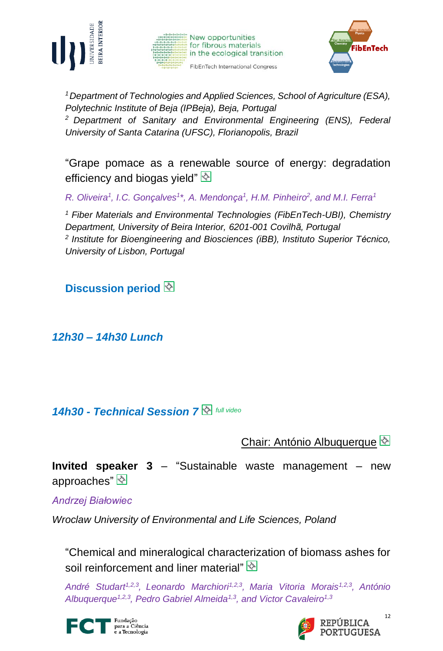





*<sup>1</sup>Department of Technologies and Applied Sciences, School of Agriculture (ESA), Polytechnic Institute of Beja (IPBeja), Beja, Portugal <sup>2</sup>Department of Sanitary and Environmental Engineering (ENS), Federal University of Santa Catarina (UFSC), Florianopolis, Brazil*

"Grape pomace as a renewable source of energy: degradation efficiency and biogas yield" $\overline{\otimes}$ 

*R. Oliveira<sup>1</sup> , I.C. Gonçalves<sup>1</sup> \*, A. Mendonça 1 , H.M. Pinheiro<sup>2</sup> , and M.I. Ferra<sup>1</sup>*

*<sup>1</sup> Fiber Materials and Environmental Technologies (FibEnTech-UBI), Chemistry Department, University of Beira Interior, 6201-001 Covilhã, Portugal 2 Institute for Bioengineering and Biosciences (iBB), Instituto Superior Técnico, University of Lisbon, Portugal* 

**Discussion period**

*12h30 – 14h30 Lunch*

#### *14h30 - Technical Session 7 full video*

Chair: António Albuquerque

**Invited speaker 3** – "Sustainable waste management – new approaches"

*Andrzej Białowiec*

*Wroclaw University of Environmental and Life Sciences, Poland*

"Chemical and mineralogical characterization of biomass ashes for soil reinforcement and liner material"

*André Studart1,2,3 , Leonardo Marchiori1,2,3 , Maria Vitoria Morais1,2,3 , António Albuquerque1,2,3, Pedro Gabriel Almeida1,3 , and Victor Cavaleiro1,3*



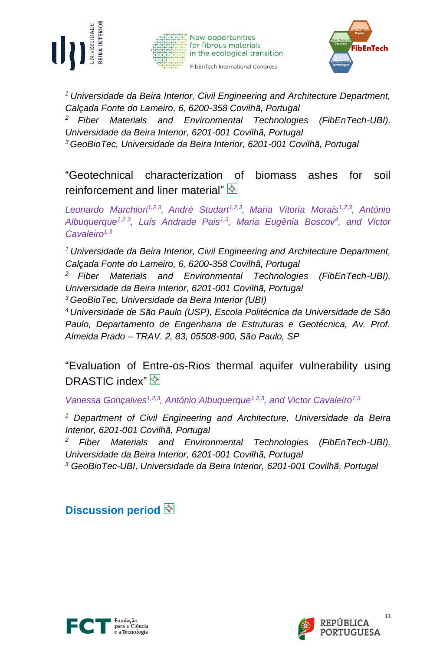





*<sup>1</sup>Universidade da Beira Interior, Civil Engineering and Architecture Department, Calçada Fonte do Lameiro, 6, 6200-358 Covilhã, Portugal*

*<sup>2</sup>Fiber Materials and Environmental Technologies (FibEnTech-UBI),* 

*Universidade da Beira Interior, 6201-001 Covilhã, Portugal*

*<sup>3</sup>GeoBioTec, Universidade da Beira Interior, 6201-001 Covilhã, Portugal*

"Geotechnical characterization of biomass ashes for soil reinforcement and liner material"

*Leonardo Marchiori1,2,3 , André Studart1,2,3 , Maria Vitoria Morais1,2,3 , António Albuquerque1,2,3, Luís Andrade Pais1,3, Maria Eugênia Boscov<sup>4</sup> , and Victor Cavaleiro1,3* 

*<sup>1</sup>Universidade da Beira Interior, Civil Engineering and Architecture Department, Calçada Fonte do Lameiro, 6, 6200-358 Covilhã, Portugal*

*<sup>2</sup>Fiber Materials and Environmental Technologies (FibEnTech-UBI), Universidade da Beira Interior, 6201-001 Covilhã, Portugal*

*<sup>3</sup>GeoBioTec, Universidade da Beira Interior (UBI)*

*<sup>4</sup>Universidade de São Paulo (USP), Escola Politécnica da Universidade de São Paulo, Departamento de Engenharia de Estruturas e Geotécnica, Av. Prof. Almeida Prado – TRAV. 2, 83, 05508-900, São Paulo, SP*

"Evaluation of Entre-os-Rios thermal aquifer vulnerability using DRASTIC index"

*Vanessa Gonçalves1,2,3, António Albuquerque1,2,3 , and Victor Cavaleiro1,3*

*<sup>1</sup> Department of Civil Engineering and Architecture, Universidade da Beira Interior, 6201-001 Covilhã, Portugal*

*<sup>2</sup> Fiber Materials and Environmental Technologies (FibEnTech-UBI), Universidade da Beira Interior, 6201-001 Covilhã, Portugal*

*<sup>3</sup> GeoBioTec-UBI, Universidade da Beira Interior, 6201-001 Covilhã, Portugal*

**Discussion period**